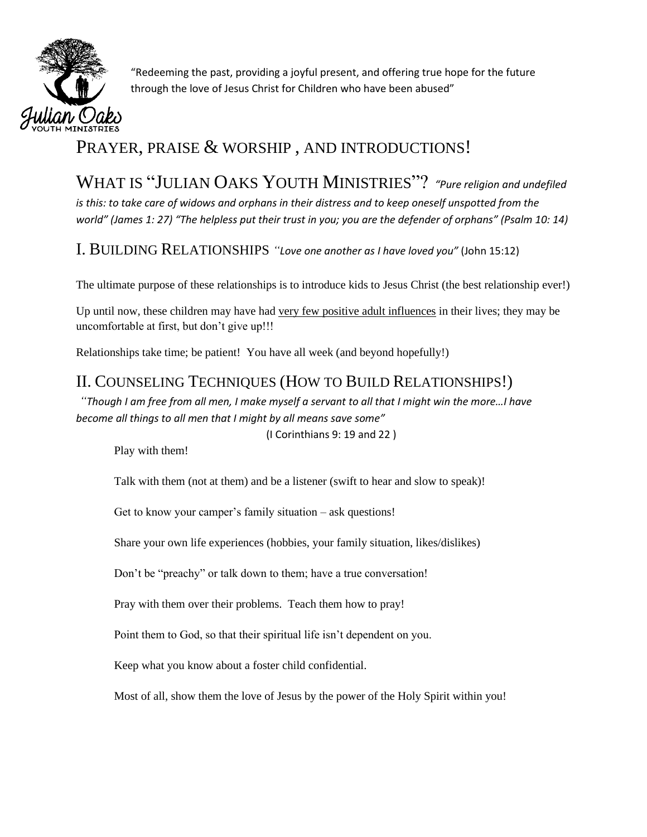

"Redeeming the past, providing a joyful present, and offering true hope for the future through the love of Jesus Christ for Children who have been abused"

# PRAYER, PRAISE & WORSHIP, AND INTRODUCTIONS!

WHAT IS "JULIAN OAKS YOUTH MINISTRIES"? *"Pure religion and undefiled is this: to take care of widows and orphans in their distress and to keep oneself unspotted from the world" (James 1: 27) "The helpless put their trust in you; you are the defender of orphans" (Psalm 10: 14)*

I. BUILDING RELATIONSHIPS *"Love one another as I have loved you"* (John 15:12)

The ultimate purpose of these relationships is to introduce kids to Jesus Christ (the best relationship ever!)

Up until now, these children may have had very few positive adult influences in their lives; they may be uncomfortable at first, but don't give up!!!

Relationships take time; be patient! You have all week (and beyond hopefully!)

## II. COUNSELING TECHNIQUES (HOW TO BUILD RELATIONSHIPS!)

*"Though I am free from all men, I make myself a servant to all that I might win the more…I have become all things to all men that I might by all means save some"*

(I Corinthians 9: 19 and 22 )

Play with them!

Talk with them (not at them) and be a listener (swift to hear and slow to speak)!

Get to know your camper's family situation – ask questions!

Share your own life experiences (hobbies, your family situation, likes/dislikes)

Don't be "preachy" or talk down to them; have a true conversation!

Pray with them over their problems. Teach them how to pray!

Point them to God, so that their spiritual life isn't dependent on you.

Keep what you know about a foster child confidential.

Most of all, show them the love of Jesus by the power of the Holy Spirit within you!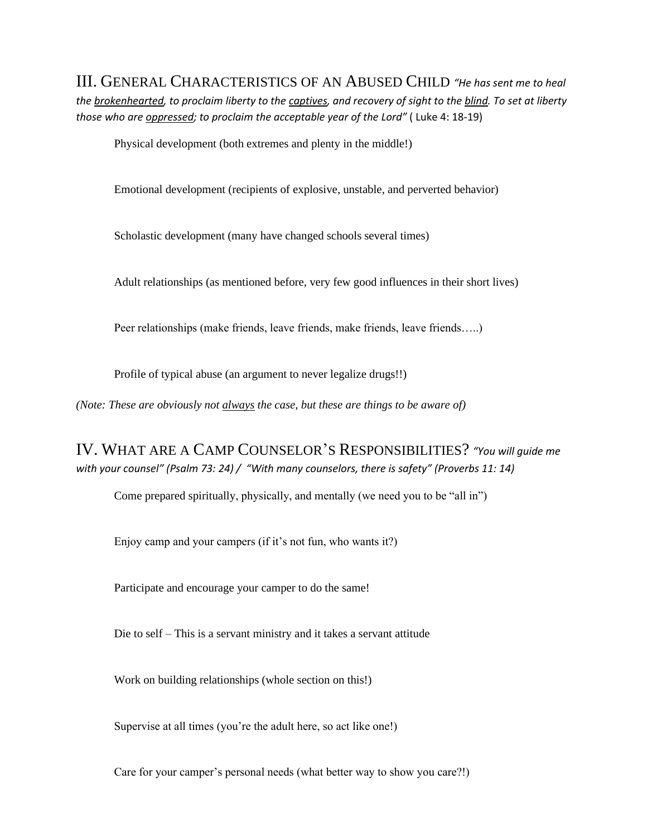III. GENERAL CHARACTERISTICS OF AN ABUSED CHILD *"He has sent me to heal the brokenhearted, to proclaim liberty to the captives, and recovery of sight to the blind. To set at liberty those who are oppressed; to proclaim the acceptable year of the Lord"* ( Luke 4: 18-19)

Physical development (both extremes and plenty in the middle!)

Emotional development (recipients of explosive, unstable, and perverted behavior)

Scholastic development (many have changed schools several times)

Adult relationships (as mentioned before, very few good influences in their short lives)

Peer relationships (make friends, leave friends, make friends, leave friends…..)

Profile of typical abuse (an argument to never legalize drugs!!)

*(Note: These are obviously not always the case, but these are things to be aware of)*

IV. WHAT ARE A CAMP COUNSELOR'S RESPONSIBILITIES? *"You will guide me with your counsel" (Psalm 73: 24) / "With many counselors, there is safety" (Proverbs 11: 14)*

Come prepared spiritually, physically, and mentally (we need you to be "all in")

Enjoy camp and your campers (if it's not fun, who wants it?)

Participate and encourage your camper to do the same!

Die to self – This is a servant ministry and it takes a servant attitude

Work on building relationships (whole section on this!)

Supervise at all times (you're the adult here, so act like one!)

Care for your camper's personal needs (what better way to show you care?!)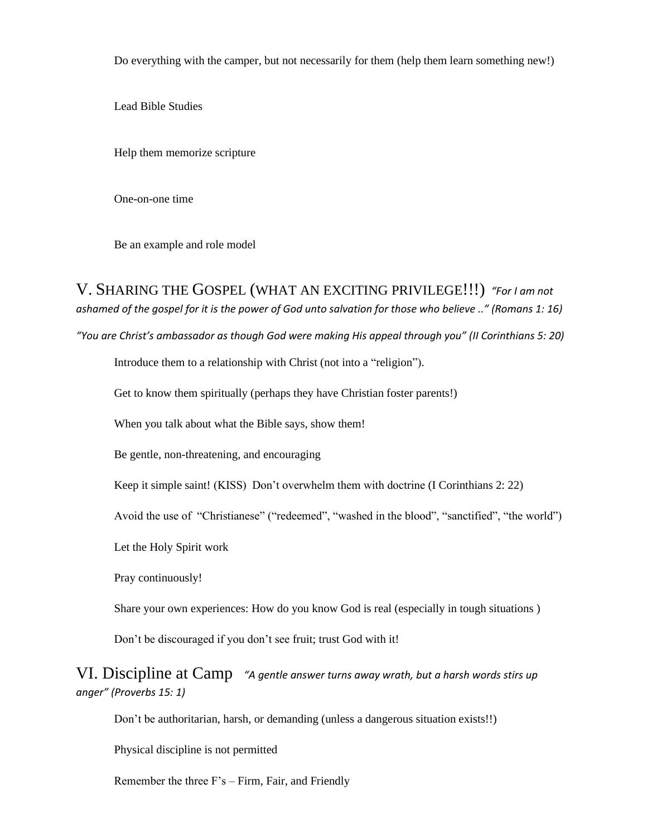Do everything with the camper, but not necessarily for them (help them learn something new!)

Lead Bible Studies

Help them memorize scripture

One-on-one time

Be an example and role model

V. SHARING THE GOSPEL (WHAT AN EXCITING PRIVILEGE!!!) *"For I am not ashamed of the gospel for it is the power of God unto salvation for those who believe .." (Romans 1: 16)*

*"You are Christ's ambassador as though God were making His appeal through you" (II Corinthians 5: 20)*

Introduce them to a relationship with Christ (not into a "religion").

Get to know them spiritually (perhaps they have Christian foster parents!)

When you talk about what the Bible says, show them!

Be gentle, non-threatening, and encouraging

Keep it simple saint! (KISS) Don't overwhelm them with doctrine (I Corinthians 2: 22)

Avoid the use of "Christianese" ("redeemed", "washed in the blood", "sanctified", "the world")

Let the Holy Spirit work

Pray continuously!

Share your own experiences: How do you know God is real (especially in tough situations )

Don't be discouraged if you don't see fruit; trust God with it!

VI. Discipline at Camp *"A gentle answer turns away wrath, but a harsh words stirs up anger" (Proverbs 15: 1)* 

Don't be authoritarian, harsh, or demanding (unless a dangerous situation exists!!)

Physical discipline is not permitted

Remember the three F's – Firm, Fair, and Friendly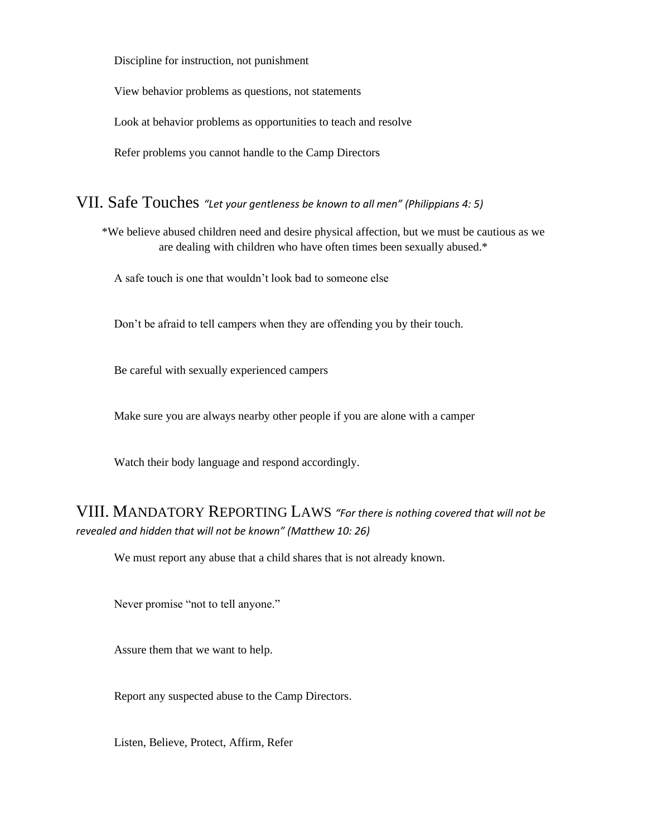Discipline for instruction, not punishment

View behavior problems as questions, not statements

Look at behavior problems as opportunities to teach and resolve

Refer problems you cannot handle to the Camp Directors

VII. Safe Touches *"Let your gentleness be known to all men" (Philippians 4: 5)*

\*We believe abused children need and desire physical affection, but we must be cautious as we are dealing with children who have often times been sexually abused.\*

A safe touch is one that wouldn't look bad to someone else

Don't be afraid to tell campers when they are offending you by their touch.

Be careful with sexually experienced campers

Make sure you are always nearby other people if you are alone with a camper

Watch their body language and respond accordingly.

## VIII. MANDATORY REPORTING LAWS *"For there is nothing covered that will not be revealed and hidden that will not be known" (Matthew 10: 26)*

We must report any abuse that a child shares that is not already known.

Never promise "not to tell anyone."

Assure them that we want to help.

Report any suspected abuse to the Camp Directors.

Listen, Believe, Protect, Affirm, Refer